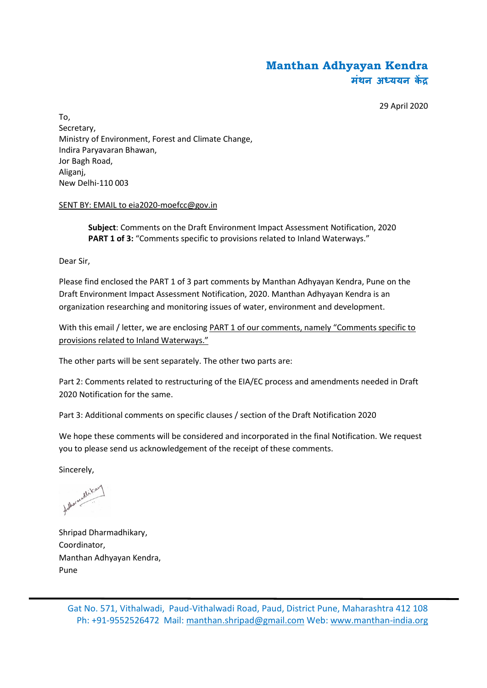# **Manthan Adhyayan Kendra मंथन अध्ययन कें द्र**

29 April 2020

To, Secretary, Ministry of Environment, Forest and Climate Change, Indira Paryavaran Bhawan, Jor Bagh Road, Aliganj, New Delhi-110 003

#### SENT BY: EMAIL to eia2020-moefcc@gov.in

**Subject**: Comments on the Draft Environment Impact Assessment Notification, 2020 **PART 1 of 3:** "Comments specific to provisions related to Inland Waterways."

Dear Sir,

Please find enclosed the PART 1 of 3 part comments by Manthan Adhyayan Kendra, Pune on the Draft Environment Impact Assessment Notification, 2020. Manthan Adhyayan Kendra is an organization researching and monitoring issues of water, environment and development.

With this email / letter, we are enclosing PART 1 of our comments, namely "Comments specific to provisions related to Inland Waterways."

The other parts will be sent separately. The other two parts are:

Part 2: Comments related to restructuring of the EIA/EC process and amendments needed in Draft 2020 Notification for the same.

Part 3: Additional comments on specific clauses / section of the Draft Notification 2020

We hope these comments will be considered and incorporated in the final Notification. We request you to please send us acknowledgement of the receipt of these comments.

Sincerely,

falhormadlikan

Shripad Dharmadhikary, Coordinator, Manthan Adhyayan Kendra, Pune

Gat No. 571, Vithalwadi, Paud-Vithalwadi Road, Paud, District Pune, Maharashtra 412 108 Ph: +91-9552526472 Mail: manthan.shripad@gmail.com Web: www.manthan-india.org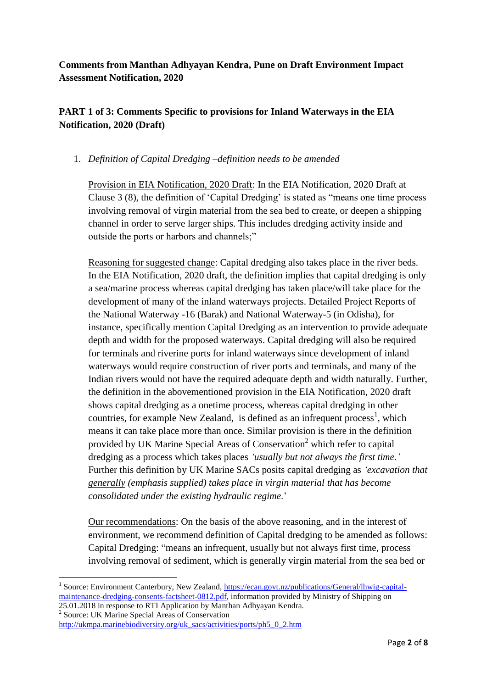**Comments from Manthan Adhyayan Kendra, Pune on Draft Environment Impact Assessment Notification, 2020**

# **PART 1 of 3: Comments Specific to provisions for Inland Waterways in the EIA Notification, 2020 (Draft)**

### 1. *Definition of Capital Dredging –definition needs to be amended*

Provision in EIA Notification, 2020 Draft: In the EIA Notification, 2020 Draft at Clause 3 (8), the definition of 'Capital Dredging' is stated as "means one time process involving removal of virgin material from the sea bed to create, or deepen a shipping channel in order to serve larger ships. This includes dredging activity inside and outside the ports or harbors and channels;"

Reasoning for suggested change: Capital dredging also takes place in the river beds. In the EIA Notification, 2020 draft, the definition implies that capital dredging is only a sea/marine process whereas capital dredging has taken place/will take place for the development of many of the inland waterways projects. Detailed Project Reports of the National Waterway -16 (Barak) and National Waterway-5 (in Odisha), for instance, specifically mention Capital Dredging as an intervention to provide adequate depth and width for the proposed waterways. Capital dredging will also be required for terminals and riverine ports for inland waterways since development of inland waterways would require construction of river ports and terminals, and many of the Indian rivers would not have the required adequate depth and width naturally. Further, the definition in the abovementioned provision in the EIA Notification, 2020 draft shows capital dredging as a onetime process, whereas capital dredging in other countries, for example New Zealand, is defined as an infrequent process<sup>1</sup>, which means it can take place more than once. Similar provision is there in the definition provided by UK Marine Special Areas of Conservation<sup>2</sup> which refer to capital dredging as a process which takes places *'usually but not always the first time.'* Further this definition by UK Marine SACs posits capital dredging as *'excavation that generally (emphasis supplied) takes place in virgin material that has become consolidated under the existing hydraulic regime*.'

Our recommendations: On the basis of the above reasoning, and in the interest of environment, we recommend definition of Capital dredging to be amended as follows: Capital Dredging: "means an infrequent, usually but not always first time, process involving removal of sediment, which is generally virgin material from the sea bed or

2 Source: UK Marine Special Areas of Conservation

**.** 

<sup>1</sup> Source: Environment Canterbury, New Zealand, [https://ecan.govt.nz/publications/General/lhwig-capital](https://ecan.govt.nz/publications/General/lhwig-capital-maintenance-dredging-consents-factsheet-0812.pdf)[maintenance-dredging-consents-factsheet-0812.pdf,](https://ecan.govt.nz/publications/General/lhwig-capital-maintenance-dredging-consents-factsheet-0812.pdf) information provided by Ministry of Shipping on 25.01.2018 in response to RTI Application by Manthan Adhyayan Kendra.

[http://ukmpa.marinebiodiversity.org/uk\\_sacs/activities/ports/ph5\\_0\\_2.htm](http://ukmpa.marinebiodiversity.org/uk_sacs/activities/ports/ph5_0_2.htm)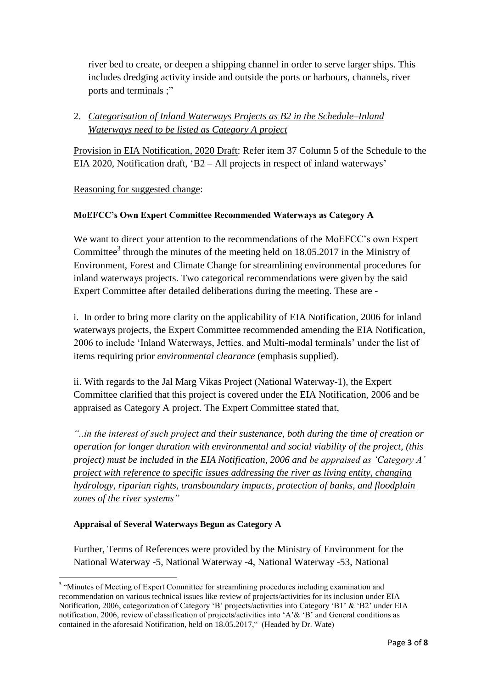river bed to create, or deepen a shipping channel in order to serve larger ships. This includes dredging activity inside and outside the ports or harbours, channels, river ports and terminals ;"

## 2. *Categorisation of Inland Waterways Projects as B2 in the Schedule–Inland Waterways need to be listed as Category A project*

Provision in EIA Notification, 2020 Draft: Refer item 37 Column 5 of the Schedule to the EIA 2020, Notification draft, 'B2 – All projects in respect of inland waterways'

### Reasoning for suggested change:

### **MoEFCC's Own Expert Committee Recommended Waterways as Category A**

We want to direct your attention to the recommendations of the MoEFCC's own Expert Committee<sup>3</sup> through the minutes of the meeting held on  $18.05.2017$  in the Ministry of Environment, Forest and Climate Change for streamlining environmental procedures for inland waterways projects. Two categorical recommendations were given by the said Expert Committee after detailed deliberations during the meeting. These are -

i. In order to bring more clarity on the applicability of EIA Notification, 2006 for inland waterways projects, the Expert Committee recommended amending the EIA Notification, 2006 to include 'Inland Waterways, Jetties, and Multi-modal terminals' under the list of items requiring prior *environmental clearance* (emphasis supplied).

ii. With regards to the Jal Marg Vikas Project (National Waterway-1), the Expert Committee clarified that this project is covered under the EIA Notification, 2006 and be appraised as Category A project. The Expert Committee stated that,

*"..in the interest of such project and their sustenance, both during the time of creation or operation for longer duration with environmental and social viability of the project, (this project) must be included in the EIA Notification, 2006 and be appraised as 'Category A' project with reference to specific issues addressing the river as living entity, changing hydrology, riparian rights, transboundary impacts, protection of banks, and floodplain zones of the river systems"*

#### **Appraisal of Several Waterways Begun as Category A**

Further, Terms of References were provided by the Ministry of Environment for the National Waterway -5, National Waterway -4, National Waterway -53, National

<sup>&</sup>lt;sup>3</sup> "Minutes of Meeting of Expert Committee for streamlining procedures including examination and recommendation on various technical issues like review of projects/activities for its inclusion under EIA Notification, 2006, categorization of Category 'B' projects/activities into Category 'B1' & 'B2' under EIA notification, 2006, review of classification of projects/activities into 'A'& 'B' and General conditions as contained in the aforesaid Notification, held on 18.05.2017," (Headed by Dr. Wate)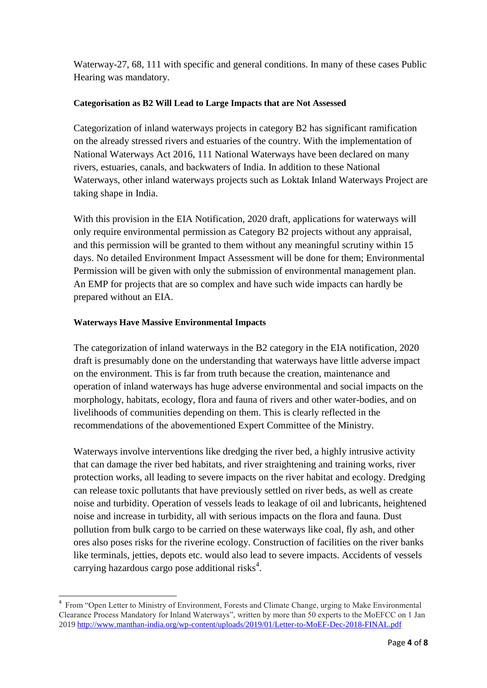Waterway-27, 68, 111 with specific and general conditions. In many of these cases Public Hearing was mandatory.

#### **Categorisation as B2 Will Lead to Large Impacts that are Not Assessed**

Categorization of inland waterways projects in category B2 has significant ramification on the already stressed rivers and estuaries of the country. With the implementation of National Waterways Act 2016, 111 National Waterways have been declared on many rivers, estuaries, canals, and backwaters of India. In addition to these National Waterways, other inland waterways projects such as Loktak Inland Waterways Project are taking shape in India.

With this provision in the EIA Notification, 2020 draft, applications for waterways will only require environmental permission as Category B2 projects without any appraisal, and this permission will be granted to them without any meaningful scrutiny within 15 days. No detailed Environment Impact Assessment will be done for them; Environmental Permission will be given with only the submission of environmental management plan. An EMP for projects that are so complex and have such wide impacts can hardly be prepared without an EIA.

### **Waterways Have Massive Environmental Impacts**

**.** 

The categorization of inland waterways in the B2 category in the EIA notification, 2020 draft is presumably done on the understanding that waterways have little adverse impact on the environment. This is far from truth because the creation, maintenance and operation of inland waterways has huge adverse environmental and social impacts on the morphology, habitats, ecology, flora and fauna of rivers and other water-bodies, and on livelihoods of communities depending on them. This is clearly reflected in the recommendations of the abovementioned Expert Committee of the Ministry.

Waterways involve interventions like dredging the river bed, a highly intrusive activity that can damage the river bed habitats, and river straightening and training works, river protection works, all leading to severe impacts on the river habitat and ecology. Dredging can release toxic pollutants that have previously settled on river beds, as well as create noise and turbidity. Operation of vessels leads to leakage of oil and lubricants, heightened noise and increase in turbidity, all with serious impacts on the flora and fauna. Dust pollution from bulk cargo to be carried on these waterways like coal, fly ash, and other ores also poses risks for the riverine ecology. Construction of facilities on the river banks like terminals, jetties, depots etc. would also lead to severe impacts. Accidents of vessels carrying hazardous cargo pose additional risks<sup>4</sup>.

<sup>&</sup>lt;sup>4</sup> From "Open Letter to Ministry of Environment, Forests and Climate Change, urging to Make Environmental Clearance Process Mandatory for Inland Waterways", written by more than 50 experts to the MoEFCC on 1 Jan 2019 <http://www.manthan-india.org/wp-content/uploads/2019/01/Letter-to-MoEF-Dec-2018-FINAL.pdf>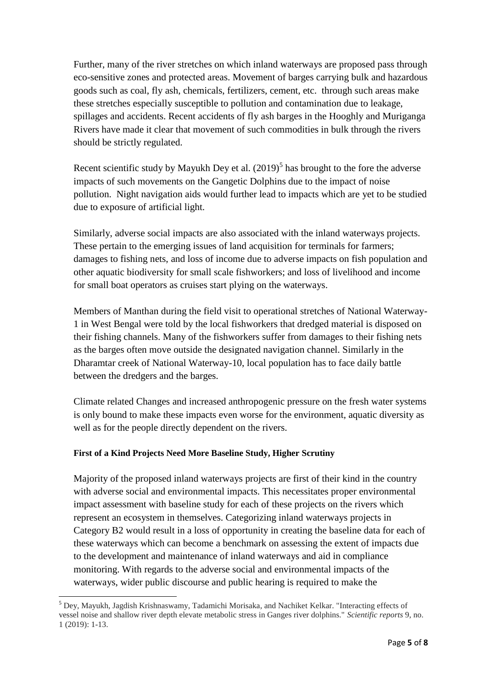Further, many of the river stretches on which inland waterways are proposed pass through eco-sensitive zones and protected areas. Movement of barges carrying bulk and hazardous goods such as coal, fly ash, chemicals, fertilizers, cement, etc. through such areas make these stretches especially susceptible to pollution and contamination due to leakage, spillages and accidents. Recent accidents of fly ash barges in the Hooghly and Muriganga Rivers have made it clear that movement of such commodities in bulk through the rivers should be strictly regulated.

Recent scientific study by Mayukh Dey et al.  $(2019)^5$  has brought to the fore the adverse impacts of such movements on the Gangetic Dolphins due to the impact of noise pollution. Night navigation aids would further lead to impacts which are yet to be studied due to exposure of artificial light.

Similarly, adverse social impacts are also associated with the inland waterways projects. These pertain to the emerging issues of land acquisition for terminals for farmers; damages to fishing nets, and loss of income due to adverse impacts on fish population and other aquatic biodiversity for small scale fishworkers; and loss of livelihood and income for small boat operators as cruises start plying on the waterways.

Members of Manthan during the field visit to operational stretches of National Waterway-1 in West Bengal were told by the local fishworkers that dredged material is disposed on their fishing channels. Many of the fishworkers suffer from damages to their fishing nets as the barges often move outside the designated navigation channel. Similarly in the Dharamtar creek of National Waterway-10, local population has to face daily battle between the dredgers and the barges.

Climate related Changes and increased anthropogenic pressure on the fresh water systems is only bound to make these impacts even worse for the environment, aquatic diversity as well as for the people directly dependent on the rivers.

### **First of a Kind Projects Need More Baseline Study, Higher Scrutiny**

1

Majority of the proposed inland waterways projects are first of their kind in the country with adverse social and environmental impacts. This necessitates proper environmental impact assessment with baseline study for each of these projects on the rivers which represent an ecosystem in themselves. Categorizing inland waterways projects in Category B2 would result in a loss of opportunity in creating the baseline data for each of these waterways which can become a benchmark on assessing the extent of impacts due to the development and maintenance of inland waterways and aid in compliance monitoring. With regards to the adverse social and environmental impacts of the waterways, wider public discourse and public hearing is required to make the

<sup>5</sup> Dey, Mayukh, Jagdish Krishnaswamy, Tadamichi Morisaka, and Nachiket Kelkar. "Interacting effects of vessel noise and shallow river depth elevate metabolic stress in Ganges river dolphins." *Scientific reports* 9, no. 1 (2019): 1-13.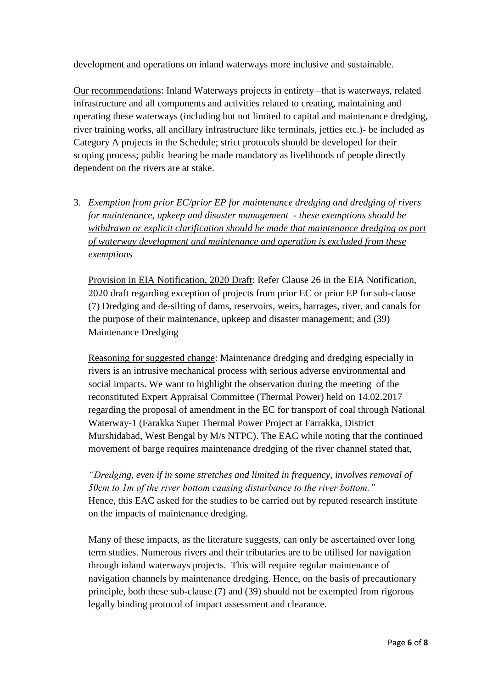development and operations on inland waterways more inclusive and sustainable.

Our recommendations: Inland Waterways projects in entirety –that is waterways, related infrastructure and all components and activities related to creating, maintaining and operating these waterways (including but not limited to capital and maintenance dredging, river training works, all ancillary infrastructure like terminals, jetties etc.)- be included as Category A projects in the Schedule; strict protocols should be developed for their scoping process; public hearing be made mandatory as livelihoods of people directly dependent on the rivers are at stake.

3. *Exemption from prior EC/prior EP for maintenance dredging and dredging of rivers for maintenance, upkeep and disaster management - these exemptions should be withdrawn or explicit clarification should be made that maintenance dredging as part of waterway development and maintenance and operation is excluded from these exemptions*

Provision in EIA Notification, 2020 Draft: Refer Clause 26 in the EIA Notification, 2020 draft regarding exception of projects from prior EC or prior EP for sub-clause (7) Dredging and de-silting of dams, reservoirs, weirs, barrages, river, and canals for the purpose of their maintenance, upkeep and disaster management; and (39) Maintenance Dredging

Reasoning for suggested change: Maintenance dredging and dredging especially in rivers is an intrusive mechanical process with serious adverse environmental and social impacts. We want to highlight the observation during the meeting of the reconstituted Expert Appraisal Committee (Thermal Power) held on 14.02.2017 regarding the proposal of amendment in the EC for transport of coal through National Waterway-1 (Farakka Super Thermal Power Project at Farrakka, District Murshidabad, West Bengal by M/s NTPC). The EAC while noting that the continued movement of barge requires maintenance dredging of the river channel stated that,

*"Dredging, even if in some stretches and limited in frequency, involves removal of 50cm to 1m of the river bottom causing disturbance to the river bottom."* Hence, this EAC asked for the studies to be carried out by reputed research institute on the impacts of maintenance dredging.

Many of these impacts, as the literature suggests, can only be ascertained over long term studies. Numerous rivers and their tributaries are to be utilised for navigation through inland waterways projects. This will require regular maintenance of navigation channels by maintenance dredging. Hence, on the basis of precautionary principle, both these sub-clause (7) and (39) should not be exempted from rigorous legally binding protocol of impact assessment and clearance.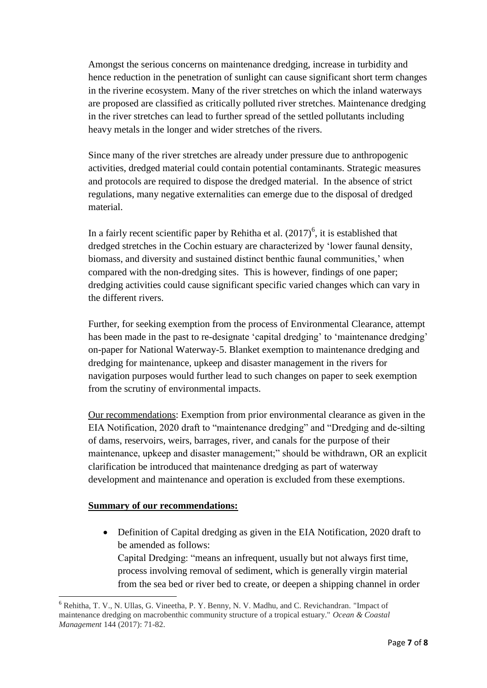Amongst the serious concerns on maintenance dredging, increase in turbidity and hence reduction in the penetration of sunlight can cause significant short term changes in the riverine ecosystem. Many of the river stretches on which the inland waterways are proposed are classified as critically polluted river stretches. Maintenance dredging in the river stretches can lead to further spread of the settled pollutants including heavy metals in the longer and wider stretches of the rivers.

Since many of the river stretches are already under pressure due to anthropogenic activities, dredged material could contain potential contaminants. Strategic measures and protocols are required to dispose the dredged material. In the absence of strict regulations, many negative externalities can emerge due to the disposal of dredged material.

In a fairly recent scientific paper by Rehitha et al.  $(2017)^6$ , it is established that dredged stretches in the Cochin estuary are characterized by 'lower faunal density, biomass, and diversity and sustained distinct benthic faunal communities,' when compared with the non-dredging sites. This is however, findings of one paper; dredging activities could cause significant specific varied changes which can vary in the different rivers.

Further, for seeking exemption from the process of Environmental Clearance, attempt has been made in the past to re-designate 'capital dredging' to 'maintenance dredging' on-paper for National Waterway-5. Blanket exemption to maintenance dredging and dredging for maintenance, upkeep and disaster management in the rivers for navigation purposes would further lead to such changes on paper to seek exemption from the scrutiny of environmental impacts.

Our recommendations: Exemption from prior environmental clearance as given in the EIA Notification, 2020 draft to "maintenance dredging" and "Dredging and de-silting of dams, reservoirs, weirs, barrages, river, and canals for the purpose of their maintenance, upkeep and disaster management;" should be withdrawn, OR an explicit clarification be introduced that maintenance dredging as part of waterway development and maintenance and operation is excluded from these exemptions.

### **Summary of our recommendations:**

• Definition of Capital dredging as given in the EIA Notification, 2020 draft to be amended as follows: Capital Dredging: "means an infrequent, usually but not always first time, process involving removal of sediment, which is generally virgin material

from the sea bed or river bed to create, or deepen a shipping channel in order

<sup>1</sup> <sup>6</sup> Rehitha, T. V., N. Ullas, G. Vineetha, P. Y. Benny, N. V. Madhu, and C. Revichandran. "Impact of maintenance dredging on macrobenthic community structure of a tropical estuary." *Ocean & Coastal Management* 144 (2017): 71-82.